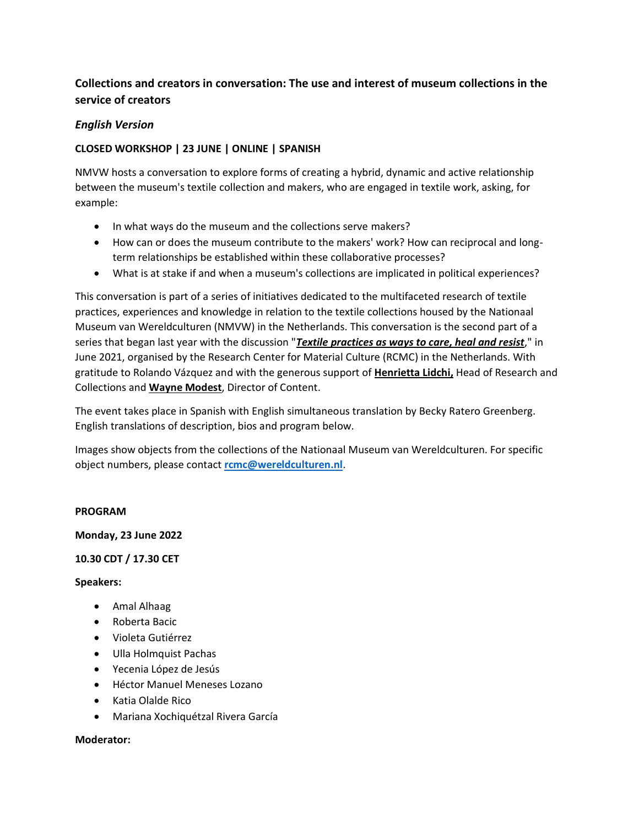# **Collections and creators in conversation: The use and interest of museum collections in the service of creators**

## *English Version*

## **CLOSED WORKSHOP | 23 JUNE | ONLINE | SPANISH**

NMVW hosts a conversation to explore forms of creating a hybrid, dynamic and active relationship between the museum's textile collection and makers, who are engaged in textile work, asking, for example:

- In what ways do the museum and the collections serve makers?
- How can or does the museum contribute to the makers' work? How can reciprocal and longterm relationships be established within these collaborative processes?
- What is at stake if and when a museum's collections are implicated in political experiences?

This conversation is part of a series of initiatives dedicated to the multifaceted research of textile practices, experiences and knowledge in relation to the textile collections housed by the Nationaal Museum van Wereldculturen (NMVW) in the Netherlands. This conversation is the second part of a series that began last year with the discussion "*[Textile practices as ways to care, heal and resist](https://www.materialculture.nl/en/research/projects/collection-research-textile-practices-ways-heal-care-and-resist)*," in June 2021, organised by the Research Center for Material Culture (RCMC) in the Netherlands. With gratitude to Rolando Vázquez and with the generous support of **[Henrietta Lidchi,](https://www.materialculture.nl/en/about/henrietta-lidchi)** Head of Research and Collections and **[Wayne Modest](https://www.materialculture.nl/en/about/wayne-modest)**, Director of Content.

The event takes place in Spanish with English simultaneous translation by Becky Ratero Greenberg. English translations of description, bios and program below.

Images show objects from the collections of the Nationaal Museum van Wereldculturen. For specific object numbers, please contact **[rcmc@wereldculturen.nl](mailto:rcmc@wereldculturen.nl)**.

## **PROGRAM**

**Monday, 23 June 2022**

## **10.30 CDT / 17.30 CET**

## **Speakers:**

- Amal Alhaag
- Roberta Bacic
- Violeta Gutiérrez
- Ulla Holmquist Pachas
- Yecenia López de Jesús
- Héctor Manuel Meneses Lozano
- Katia Olalde Rico
- Mariana Xochiquétzal Rivera García

## **Moderator:**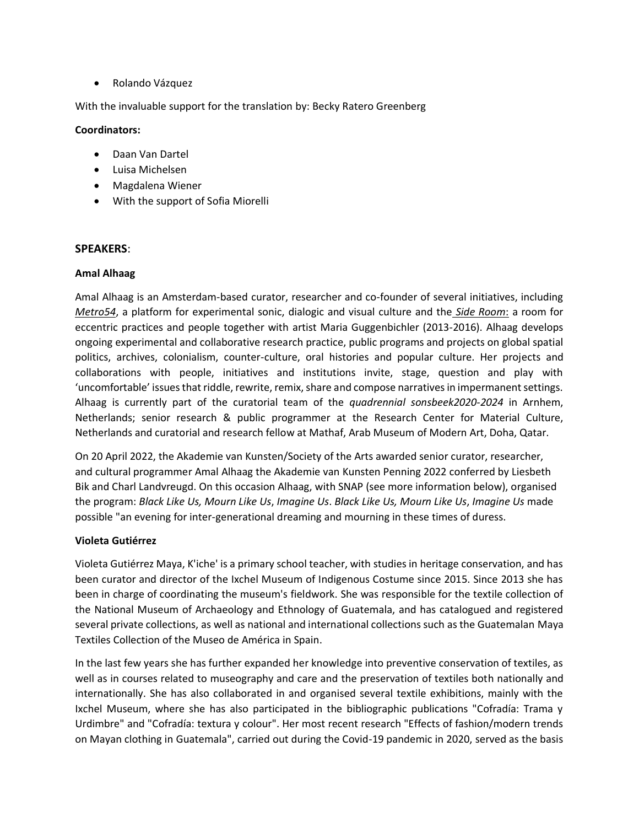• Rolando Vázquez

With the invaluable support for the translation by: Becky Ratero Greenberg

## **Coordinators:**

- Daan Van Dartel
- Luisa Michelsen
- Magdalena Wiener
- With the support of Sofia Miorelli

## **SPEAKERS**:

## **Amal Alhaag**

Amal Alhaag is an Amsterdam-based curator, researcher and co-founder of several initiatives, includin[g](https://metro54.nl/about/) *[Metro54](https://metro54.nl/about/)*, a platform for experimental sonic, dialogic and visual culture and the *[Side Room](http://sideroom.org/o/about/)*: a room for eccentric practices and people together with artist Maria Guggenbichler (2013-2016). Alhaag develops ongoing experimental and collaborative research practice, public programs and projects on global spatial politics, archives, colonialism, counter-culture, oral histories and popular culture. Her projects and collaborations with people, initiatives and institutions invite, stage, question and play with 'uncomfortable' issues that riddle, rewrite, remix, share and compose narratives in impermanent settings. Alhaag is currently part of the curatorial team of the *[quadrennial sonsbeek2020-2024](https://www.sonsbeek20-24.org/en/about-us/curatorial-team/)* in Arnhem, Netherlands; senior research & public programmer at the Research Center for Material Culture, Netherlands and curatorial and research fellow at Mathaf, Arab Museum of Modern Art, Doha, Qatar.

On 20 April 2022, the Akademie van Kunsten/Society of the Arts awarded senior curator, researcher, and cultural programmer [Amal Alhaag](https://www.materialculture.nl/en/about/amal-alhaag) the [Akademie van Kunsten Penning 2022](https://www.akademievankunsten.nl/nieuws/2203581.aspx) conferred by [Liesbeth](https://akademievankunsten.nl/leden/2015946.aspx?t=LIESBETH-BIK)  [Bik](https://akademievankunsten.nl/leden/2015946.aspx?t=LIESBETH-BIK) and [Charl Landvreugd.](https://landvreugd.com/) On this occasion Alhaag, with SNAP (see more information below), organised the program: *[Black Like Us, Mourn Like Us](https://metro54.nl/this-window-is-a-world-copy-copy-copy/)*, *Imagine Us*. *Black Like Us, Mourn Like Us*, *Imagine Us* made possible "an evening for inter-generational dreaming and mourning in these times of duress.

## **Violeta Gutiérrez**

Violeta Gutiérrez Maya, K'iche' is a primary school teacher, with studies in heritage conservation, and has been curator and director of the Ixchel Museum of Indigenous Costume since 2015. Since 2013 she has been in charge of coordinating the museum's fieldwork. She was responsible for the textile collection of the National Museum of Archaeology and Ethnology of Guatemala, and has catalogued and registered several private collections, as well as national and international collections such as the Guatemalan Maya Textiles Collection of the Museo de América in Spain.

In the last few years she has further expanded her knowledge into preventive conservation of textiles, as well as in courses related to museography and care and the preservation of textiles both nationally and internationally. She has also collaborated in and organised several textile exhibitions, mainly with the Ixchel Museum, where she has also participated in the bibliographic publications "Cofradía: Trama y Urdimbre" and "Cofradía: textura y colour". Her most recent research "Effects of fashion/modern trends on Mayan clothing in Guatemala", carried out during the Covid-19 pandemic in 2020, served as the basis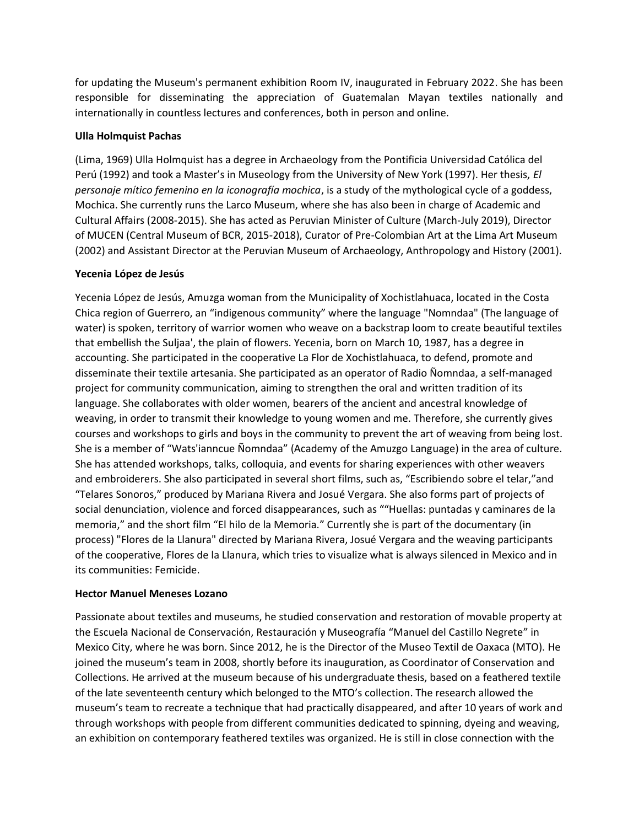for updating the Museum's permanent exhibition Room IV, inaugurated in February 2022. She has been responsible for disseminating the appreciation of Guatemalan Mayan textiles nationally and internationally in countless lectures and conferences, both in person and online.

## **Ulla Holmquist Pachas**

(Lima, 1969) Ulla Holmquist has a degree in Archaeology from the Pontificia Universidad Católica del Perú (1992) and took a Master's in Museology from the University of New York (1997). Her thesis, *El personaje mítico femenino en la iconografía mochica*, is a study of the mythological cycle of a goddess, Mochica. She currently runs the Larco Museum, where she has also been in charge of Academic and Cultural Affairs (2008-2015). She has acted as Peruvian Minister of Culture (March-July 2019), Director of MUCEN (Central Museum of BCR, 2015-2018), Curator of Pre-Colombian Art at the Lima Art Museum (2002) and Assistant Director at the Peruvian Museum of Archaeology, Anthropology and History (2001).

## **Yecenia López de Jesús**

Yecenia López de Jesús, Amuzga woman from the Municipality of Xochistlahuaca, located in the Costa Chica region of Guerrero, an "indigenous community" where the language "Nomndaa" (The language of water) is spoken, territory of warrior women who weave on a backstrap loom to create beautiful textiles that embellish the Suljaa', the plain of flowers. Yecenia, born on March 10, 1987, has a degree in accounting. She participated in the cooperative La Flor de Xochistlahuaca, to defend, promote and disseminate their textile artesania. She participated as an operator of Radio Ñomndaa, a self-managed project for community communication, aiming to strengthen the oral and written tradition of its language. She collaborates with older women, bearers of the ancient and ancestral knowledge of weaving, in order to transmit their knowledge to young women and me. Therefore, she currently gives courses and workshops to girls and boys in the community to prevent the art of weaving from being lost. She is a member of "Wats'ianncue Ñomndaa" (Academy of the Amuzgo Language) in the area of culture. She has attended workshops, talks, colloquia, and events for sharing experiences with other weavers and embroiderers. She also participated in several short films, such as, "Escribiendo sobre el telar,"and "Telares Sonoros," produced by Mariana Rivera and Josué Vergara. She also forms part of projects of social denunciation, violence and forced disappearances, such as ""Huellas: puntadas y caminares de la memoria," and the short film "El hilo de la Memoria." Currently she is part of the documentary (in process) "Flores de la Llanura" directed by Mariana Rivera, Josué Vergara and the weaving participants of the cooperative, Flores de la Llanura, which tries to visualize what is always silenced in Mexico and in its communities: Femicide.

## **Hector Manuel Meneses Lozano**

Passionate about textiles and museums, he studied conservation and restoration of movable property at the Escuela Nacional de Conservación, Restauración y Museografía "Manuel del Castillo Negrete" in Mexico City, where he was born. Since 2012, he is the Director of the Museo Textil de Oaxaca (MTO). He joined the museum's team in 2008, shortly before its inauguration, as Coordinator of Conservation and Collections. He arrived at the museum because of his undergraduate thesis, based on a feathered textile of the late seventeenth century which belonged to the MTO's collection. The research allowed the museum's team to recreate a technique that had practically disappeared, and after 10 years of work and through workshops with people from different communities dedicated to spinning, dyeing and weaving, an exhibition on contemporary feathered textiles was organized. He is still in close connection with the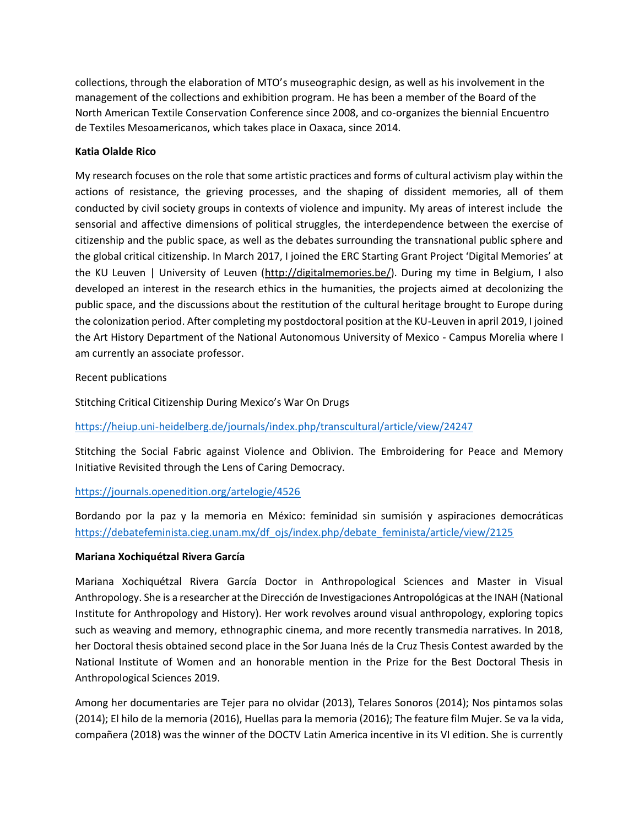collections, through the elaboration of MTO's museographic design, as well as his involvement in the management of the collections and exhibition program. He has been a member of the Board of the North American Textile Conservation Conference since 2008, and co-organizes the biennial Encuentro de Textiles Mesoamericanos, which takes place in Oaxaca, since 2014.

## **Katia Olalde Rico**

My research focuses on the role that some artistic practices and forms of cultural activism play within the actions of resistance, the grieving processes, and the shaping of dissident memories, all of them conducted by civil society groups in contexts of violence and impunity. My areas of interest include the sensorial and affective dimensions of political struggles, the interdependence between the exercise of citizenship and the public space, as well as the debates surrounding the transnational public sphere and the global critical citizenship. In March 2017, I joined the ERC Starting Grant Project 'Digital Memories' at the KU Leuven | University of Leuven [\(http://digitalmemories.be/\)](http://digitalmemories.be/). During my time in Belgium, I also developed an interest in the research ethics in the humanities, the projects aimed at decolonizing the public space, and the discussions about the restitution of the cultural heritage brought to Europe during the colonization period. After completing my postdoctoral position at the KU-Leuven in april 2019, I joined the Art History Department of the National Autonomous University of Mexico - Campus Morelia where I am currently an associate professor.

### Recent publications

Stitching Critical Citizenship During Mexico's War On Drugs

<https://heiup.uni-heidelberg.de/journals/index.php/transcultural/article/view/24247>

Stitching the Social Fabric against Violence and Oblivion. The Embroidering for Peace and Memory Initiative Revisited through the Lens of Caring Democracy.

## <https://journals.openedition.org/artelogie/4526>

Bordando por la paz y la memoria en México: feminidad sin sumisión y aspiraciones democráticas [https://debatefeminista.cieg.unam.mx/df\\_ojs/index.php/debate\\_feminista/article/view/2125](https://debatefeminista.cieg.unam.mx/df_ojs/index.php/debate_feminista/article/view/2125)

#### **Mariana Xochiquétzal Rivera García**

Mariana Xochiquétzal Rivera García Doctor in Anthropological Sciences and Master in Visual Anthropology. She is a researcher at the Dirección de Investigaciones Antropológicas at the INAH (National Institute for Anthropology and History). Her work revolves around visual anthropology, exploring topics such as weaving and memory, ethnographic cinema, and more recently transmedia narratives. In 2018, her Doctoral thesis obtained second place in the Sor Juana Inés de la Cruz Thesis Contest awarded by the National Institute of Women and an honorable mention in the Prize for the Best Doctoral Thesis in Anthropological Sciences 2019.

Among her documentaries are Tejer para no olvidar (2013), Telares Sonoros (2014); Nos pintamos solas (2014); El hilo de la memoria (2016), Huellas para la memoria (2016); The feature film Mujer. Se va la vida, compañera (2018) was the winner of the DOCTV Latin America incentive in its VI edition. She is currently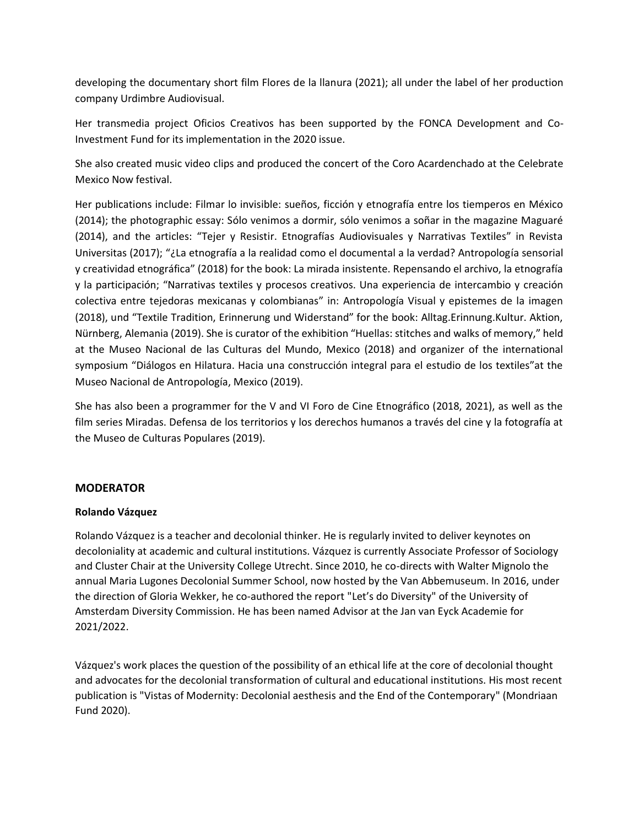developing the documentary short film Flores de la llanura (2021); all under the label of her production company Urdimbre Audiovisual.

Her transmedia project Oficios Creativos has been supported by the FONCA Development and Co-Investment Fund for its implementation in the 2020 issue.

She also created music video clips and produced the concert of the Coro Acardenchado at the Celebrate Mexico Now festival.

Her publications include: Filmar lo invisible: sueños, ficción y etnografía entre los tiemperos en México (2014); the photographic essay: Sólo venimos a dormir, sólo venimos a soñar in the magazine Maguaré (2014), and the articles: "Tejer y Resistir. Etnografías Audiovisuales y Narrativas Textiles" in Revista Universitas (2017); "¿La etnografía a la realidad como el documental a la verdad? Antropología sensorial y creatividad etnográfica" (2018) for the book: La mirada insistente. Repensando el archivo, la etnografía y la participación; "Narrativas textiles y procesos creativos. Una experiencia de intercambio y creación colectiva entre tejedoras mexicanas y colombianas" in: Antropología Visual y epistemes de la imagen (2018), und "Textile Tradition, Erinnerung und Widerstand" for the book: Alltag.Erinnung.Kultur. Aktion, Nürnberg, Alemania (2019). She is curator of the exhibition "Huellas: stitches and walks of memory," held at the Museo Nacional de las Culturas del Mundo, Mexico (2018) and organizer of the international symposium "Diálogos en Hilatura. Hacia una construcción integral para el estudio de los textiles"at the Museo Nacional de Antropología, Mexico (2019).

She has also been a programmer for the V and VI Foro de Cine Etnográfico (2018, 2021), as well as the film series Miradas. Defensa de los territorios y los derechos humanos a través del cine y la fotografía at the Museo de Culturas Populares (2019).

## **MODERATOR**

## **Rolando Vázquez**

Rolando Vázquez is a teacher and decolonial thinker. He is regularly invited to deliver keynotes on decoloniality at academic and cultural institutions. Vázquez is currently Associate Professor of Sociology and Cluster Chair at the University College Utrecht. Since 2010, he co-directs with Walter Mignolo the annual [Maria Lugones Decolonial Summer School,](https://utrechtsummerschool.nl/courses/social-sciences/learning-to-unlearn-decolonially-living-knowing-the-university-the-museum) now hosted by th[e Van Abbemuseum.](https://vanabbemuseum.nl/en/) In 2016, under the direction o[f Gloria Wekker,](https://www.uu.nl/staff/GDWekker) he co-authored the report "Let's do Diversity" of the University of Amsterdam Diversity Commission. He has been named Advisor at the Jan van Eyck Academie for 2021/2022.

Vázquez's work places the question of the possibility of an ethical life at the core of decolonial thought and advocates for the decolonial transformation of cultural and educational institutions. His most recent publication is ["Vistas of Modernity: Decolonial aesthesis and the End of the Contemporary"](https://www.mondriaanfonds.nl/en/publication/vistas-of-modernity-decolonial-aesthesis-and-the-end-of-the-contemporary/) (Mondriaan Fund 2020).